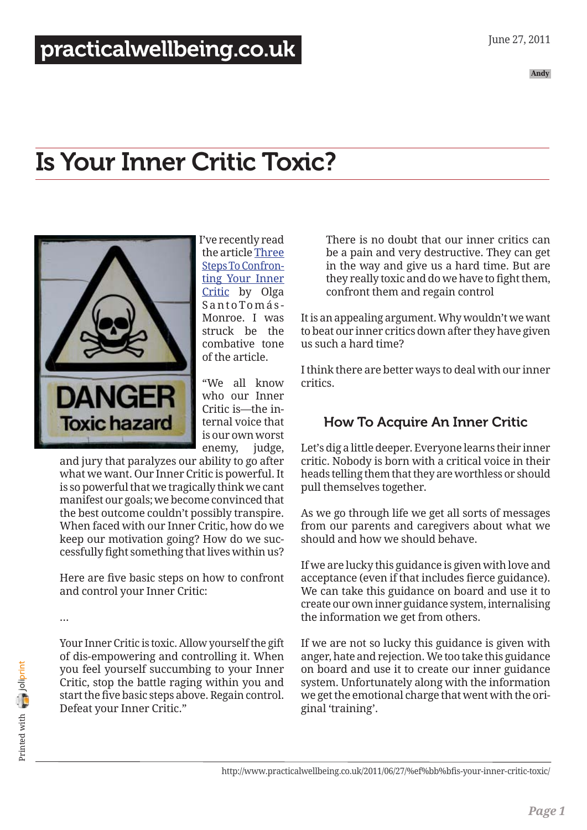# Is Your Inner Critic Toxic?



I've recently read the article [Three](http://inside919.ning.com/profiles/blogs/three-steps-to-confronting) [Steps To Confron](http://inside919.ning.com/profiles/blogs/three-steps-to-confronting)[ting Your Inner](http://inside919.ning.com/profiles/blogs/three-steps-to-confronting) [Critic](http://inside919.ning.com/profiles/blogs/three-steps-to-confronting) by Olga S a n to To m á s - Monroe. I was struck be the combative tone of the article.

"We all know who our Inner Critic is—the internal voice that is our own worst enemy, judge,

and jury that paralyzes our ability to go after what we want. Our Inner Critic is powerful. It is so powerful that we tragically think we cant manifest our goals; we become convinced that the best outcome couldn't possibly transpire. When faced with our Inner Critic, how do we keep our motivation going? How do we successfully fight something that lives within us?

Here are five basic steps on how to confront and control your Inner Critic:

…

Your Inner Critic is toxic. Allow yourself the gift of dis-empowering and controlling it. When you feel yourself succumbing to your Inner Critic, stop the battle raging within you and start the five basic steps above. Regain control. Defeat your Inner Critic."

There is no doubt that our inner critics can be a pain and very destructive. They can get in the way and give us a hard time. But are they really toxic and do we have to fight them, confront them and regain control

It is an appealing argument. Why wouldn't we want to beat our inner critics down after they have given us such a hard time?

I think there are better ways to deal with our inner critics.

## How To Acquire An Inner Critic

Let's dig a little deeper. Everyone learns their inner critic. Nobody is born with a critical voice in their heads telling them that they are worthless or should pull themselves together.

As we go through life we get all sorts of messages from our parents and caregivers about what we should and how we should behave.

If we are lucky this guidance is given with love and acceptance (even if that includes fierce guidance). We can take this guidance on board and use it to create our own inner guidance system, internalising the information we get from others.

If we are not so lucky this guidance is given with anger, hate and rejection. We too take this guidance on board and use it to create our inner guidance system. Unfortunately along with the information we get the emotional charge that went with the original 'training'.

http://www.practicalwellbeing.co.uk/2011/06/27/%ef%bb%bfis-your-inner-critic-toxic/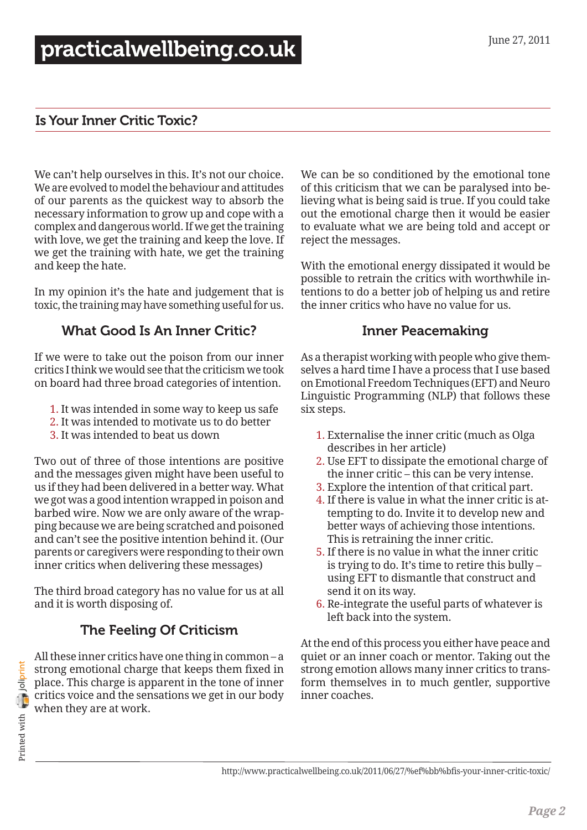#### Is Your Inner Critic Toxic?

We can't help ourselves in this. It's not our choice. We are evolved to model the behaviour and attitudes of our parents as the quickest way to absorb the necessary information to grow up and cope with a complex and dangerous world. If we get the training with love, we get the training and keep the love. If we get the training with hate, we get the training and keep the hate.

In my opinion it's the hate and judgement that is toxic, the training may have something useful for us.

### What Good Is An Inner Critic?

If we were to take out the poison from our inner critics I think we would see that the criticism we took on board had three broad categories of intention.

- 1. It was intended in some way to keep us safe
- 2. It was intended to motivate us to do better
- 3. It was intended to beat us down

Two out of three of those intentions are positive and the messages given might have been useful to us if they had been delivered in a better way. What we got was a good intention wrapped in poison and barbed wire. Now we are only aware of the wrapping because we are being scratched and poisoned and can't see the positive intention behind it. (Our parents or caregivers were responding to their own inner critics when delivering these messages)

The third broad category has no value for us at all and it is worth disposing of.

## The Feeling Of Criticism

All these inner critics have one thing in common – a strong emotional charge that keeps them fixed in place. This charge is apparent in the tone of inner critics voice and the sensations we get in our body when they are at work.

We can be so conditioned by the emotional tone of this criticism that we can be paralysed into believing what is being said is true. If you could take out the emotional charge then it would be easier to evaluate what we are being told and accept or reject the messages.

With the emotional energy dissipated it would be possible to retrain the critics with worthwhile intentions to do a better job of helping us and retire the inner critics who have no value for us.

#### Inner Peacemaking

As a therapist working with people who give themselves a hard time I have a process that I use based on Emotional Freedom Techniques (EFT) and Neuro Linguistic Programming (NLP) that follows these six steps.

- 1. Externalise the inner critic (much as Olga describes in her article)
- 2. Use EFT to dissipate the emotional charge of the inner critic – this can be very intense.
- 3. Explore the intention of that critical part.
- 4. If there is value in what the inner critic is attempting to do. Invite it to develop new and better ways of achieving those intentions. This is retraining the inner critic.
- 5. If there is no value in what the inner critic is trying to do. It's time to retire this bully – using EFT to dismantle that construct and send it on its way.
- 6. Re-integrate the useful parts of whatever is left back into the system.

At the end of this process you either have peace and quiet or an inner coach or mentor. Taking out the strong emotion allows many inner critics to transform themselves in to much gentler, supportive inner coaches.